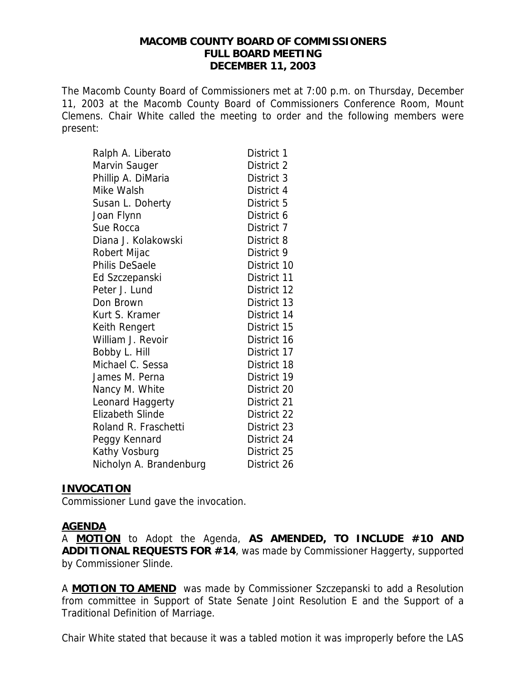#### **MACOMB COUNTY BOARD OF COMMISSIONERS FULL BOARD MEETING DECEMBER 11, 2003**

The Macomb County Board of Commissioners met at 7:00 p.m. on Thursday, December 11, 2003 at the Macomb County Board of Commissioners Conference Room, Mount Clemens. Chair White called the meeting to order and the following members were present:

| Ralph A. Liberato       | District 1  |
|-------------------------|-------------|
| Marvin Sauger           | District 2  |
| Phillip A. DiMaria      | District 3  |
| Mike Walsh              | District 4  |
| Susan L. Doherty        | District 5  |
| Joan Flynn              | District 6  |
| Sue Rocca               | District 7  |
| Diana J. Kolakowski     | District 8  |
| Robert Mijac            | District 9  |
| <b>Philis DeSaele</b>   | District 10 |
| Ed Szczepanski          | District 11 |
| Peter J. Lund           | District 12 |
| Don Brown               | District 13 |
| Kurt S. Kramer          | District 14 |
| Keith Rengert           | District 15 |
| William J. Revoir       | District 16 |
| Bobby L. Hill           | District 17 |
| Michael C. Sessa        | District 18 |
| James M. Perna          | District 19 |
| Nancy M. White          | District 20 |
| Leonard Haggerty        | District 21 |
| <b>Elizabeth Slinde</b> | District 22 |
| Roland R. Fraschetti    | District 23 |
| Peggy Kennard           | District 24 |
| Kathy Vosburg           | District 25 |
| Nicholyn A. Brandenburg | District 26 |

#### **INVOCATION**

Commissioner Lund gave the invocation.

#### **AGENDA**

A **MOTION** to Adopt the Agenda, **AS AMENDED, TO INCLUDE #10 AND ADDITIONAL REQUESTS FOR #14**, was made by Commissioner Haggerty, supported by Commissioner Slinde.

A **MOTION TO AMEND** was made by Commissioner Szczepanski to add a Resolution from committee in Support of State Senate Joint Resolution E and the Support of a Traditional Definition of Marriage.

Chair White stated that because it was a tabled motion it was improperly before the LAS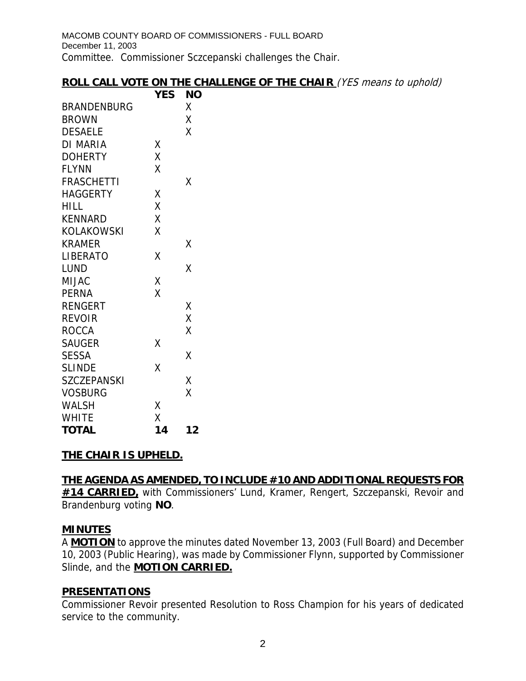### **ROLL CALL VOTE ON THE CHALLENGE OF THE CHAIR** (YES means to uphold)

|                    | <b>YES</b> | <b>NO</b> |
|--------------------|------------|-----------|
| <b>BRANDENBURG</b> |            | X         |
| <b>BROWN</b>       |            | Χ         |
| <b>DESAELE</b>     |            | Χ         |
| DI MARIA           | Χ          |           |
| <b>DOHERTY</b>     | Χ          |           |
| FLYNN              | Χ          |           |
| <b>FRASCHETTI</b>  |            | χ         |
| <b>HAGGERTY</b>    | Χ          |           |
| HILL               | X          |           |
| <b>KENNARD</b>     | X          |           |
| KOLAKOWSKI         | X          |           |
| <b>KRAMER</b>      |            | Χ         |
| <b>LIBERATO</b>    | Χ          |           |
| <b>LUND</b>        |            | Χ         |
| MIJAC              | Χ          |           |
| <b>PERNA</b>       | X          |           |
| RENGERT            |            | Χ         |
| <b>REVOIR</b>      |            | X         |
| <b>ROCCA</b>       |            | X         |
| <b>SAUGER</b>      | Χ          |           |
| <b>SESSA</b>       |            | Χ         |
| <b>SLINDE</b>      | X          |           |
| <b>SZCZEPANSKI</b> |            | Χ         |
| <b>VOSBURG</b>     |            | X         |
| <b>WALSH</b>       | Χ          |           |
| <b>WHITE</b>       | X          |           |
| <b>TOTAL</b>       | 14         | 12        |

# **THE CHAIR IS UPHELD.**

# **THE AGENDA AS AMENDED, TO INCLUDE #10 AND ADDITIONAL REQUESTS FOR #14 CARRIED,** with Commissioners' Lund, Kramer, Rengert, Szczepanski, Revoir and

Brandenburg voting **NO**.

### **MINUTES**

A **MOTION** to approve the minutes dated November 13, 2003 (Full Board) and December 10, 2003 (Public Hearing), was made by Commissioner Flynn, supported by Commissioner Slinde, and the **MOTION CARRIED.**

### **PRESENTATIONS**

Commissioner Revoir presented Resolution to Ross Champion for his years of dedicated service to the community.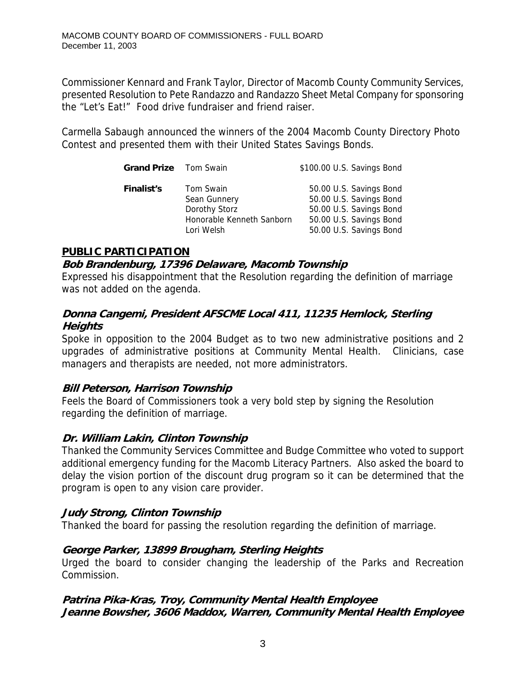Commissioner Kennard and Frank Taylor, Director of Macomb County Community Services, presented Resolution to Pete Randazzo and Randazzo Sheet Metal Company for sponsoring the "Let's Eat!" Food drive fundraiser and friend raiser.

Carmella Sabaugh announced the winners of the 2004 Macomb County Directory Photo Contest and presented them with their United States Savings Bonds.

| <b>Grand Prize</b> Tom Swain |                                                                                       | \$100.00 U.S. Savings Bond                                                                                                          |
|------------------------------|---------------------------------------------------------------------------------------|-------------------------------------------------------------------------------------------------------------------------------------|
| <b>Finalist's</b>            | Tom Swain<br>Sean Gunnery<br>Dorothy Storz<br>Honorable Kenneth Sanborn<br>Lori Welsh | 50.00 U.S. Savings Bond<br>50.00 U.S. Savings Bond<br>50.00 U.S. Savings Bond<br>50.00 U.S. Savings Bond<br>50.00 U.S. Savings Bond |
|                              |                                                                                       |                                                                                                                                     |

### **PUBLIC PARTICIPATION**

#### **Bob Brandenburg, 17396 Delaware, Macomb Township**

Expressed his disappointment that the Resolution regarding the definition of marriage was not added on the agenda.

### **Donna Cangemi, President AFSCME Local 411, 11235 Hemlock, Sterling Heights**

Spoke in opposition to the 2004 Budget as to two new administrative positions and 2 upgrades of administrative positions at Community Mental Health. Clinicians, case managers and therapists are needed, not more administrators.

### **Bill Peterson, Harrison Township**

Feels the Board of Commissioners took a very bold step by signing the Resolution regarding the definition of marriage.

### **Dr. William Lakin, Clinton Township**

Thanked the Community Services Committee and Budge Committee who voted to support additional emergency funding for the Macomb Literacy Partners. Also asked the board to delay the vision portion of the discount drug program so it can be determined that the program is open to any vision care provider.

### **Judy Strong, Clinton Township**

Thanked the board for passing the resolution regarding the definition of marriage.

### **George Parker, 13899 Brougham, Sterling Heights**

Urged the board to consider changing the leadership of the Parks and Recreation Commission.

### **Patrina Pika-Kras, Troy, Community Mental Health Employee Jeanne Bowsher, 3606 Maddox, Warren, Community Mental Health Employee**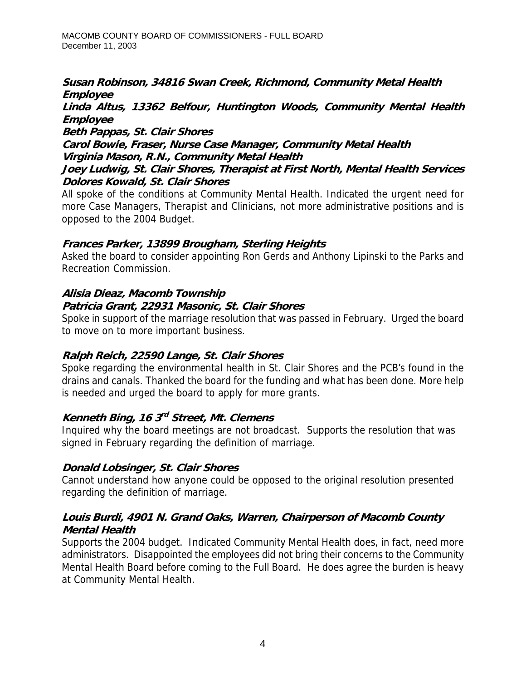#### **Susan Robinson, 34816 Swan Creek, Richmond, Community Metal Health Employee**

#### **Linda Altus, 13362 Belfour, Huntington Woods, Community Mental Health Employee**

**Beth Pappas, St. Clair Shores** 

**Carol Bowie, Fraser, Nurse Case Manager, Community Metal Health Virginia Mason, R.N., Community Metal Health** 

#### **Joey Ludwig, St. Clair Shores, Therapist at First North, Mental Health Services Dolores Kowald, St. Clair Shores**

All spoke of the conditions at Community Mental Health. Indicated the urgent need for more Case Managers, Therapist and Clinicians, not more administrative positions and is opposed to the 2004 Budget.

## **Frances Parker, 13899 Brougham, Sterling Heights**

Asked the board to consider appointing Ron Gerds and Anthony Lipinski to the Parks and Recreation Commission.

#### **Alisia Dieaz, Macomb Township Patricia Grant, 22931 Masonic, St. Clair Shores**

Spoke in support of the marriage resolution that was passed in February. Urged the board to move on to more important business.

# **Ralph Reich, 22590 Lange, St. Clair Shores**

Spoke regarding the environmental health in St. Clair Shores and the PCB's found in the drains and canals. Thanked the board for the funding and what has been done. More help is needed and urged the board to apply for more grants.

# **Kenneth Bing, 16 3rd Street, Mt. Clemens**

Inquired why the board meetings are not broadcast. Supports the resolution that was signed in February regarding the definition of marriage.

### **Donald Lobsinger, St. Clair Shores**

Cannot understand how anyone could be opposed to the original resolution presented regarding the definition of marriage.

### **Louis Burdi, 4901 N. Grand Oaks, Warren, Chairperson of Macomb County Mental Health**

Supports the 2004 budget. Indicated Community Mental Health does, in fact, need more administrators. Disappointed the employees did not bring their concerns to the Community Mental Health Board before coming to the Full Board. He does agree the burden is heavy at Community Mental Health.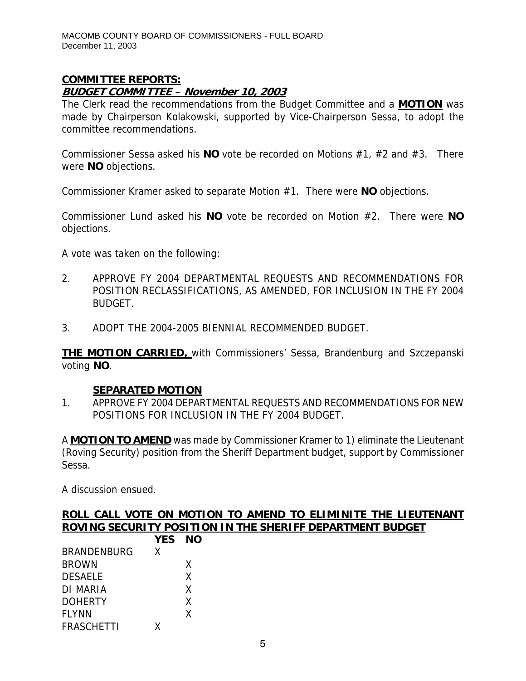### **COMMITTEE REPORTS: BUDGET COMMITTEE – November 10, 2003**

The Clerk read the recommendations from the Budget Committee and a **MOTION** was made by Chairperson Kolakowski, supported by Vice-Chairperson Sessa, to adopt the committee recommendations.

Commissioner Sessa asked his **NO** vote be recorded on Motions #1, #2 and #3. There were **NO** objections.

Commissioner Kramer asked to separate Motion #1. There were **NO** objections.

Commissioner Lund asked his **NO** vote be recorded on Motion #2. There were **NO** objections.

A vote was taken on the following:

- 2. APPROVE FY 2004 DEPARTMENTAL REQUESTS AND RECOMMENDATIONS FOR POSITION RECLASSIFICATIONS, AS AMENDED, FOR INCLUSION IN THE FY 2004 BUDGET.
- 3. ADOPT THE 2004-2005 BIENNIAL RECOMMENDED BUDGET.

**THE MOTION CARRIED,** with Commissioners' Sessa, Brandenburg and Szczepanski voting **NO**.

### **SEPARATED MOTION**

1. APPROVE FY 2004 DEPARTMENTAL REQUESTS AND RECOMMENDATIONS FOR NEW POSITIONS FOR INCLUSION IN THE FY 2004 BUDGET.

A **MOTION TO AMEND** was made by Commissioner Kramer to 1) eliminate the Lieutenant (Roving Security) position from the Sheriff Department budget, support by Commissioner Sessa.

A discussion ensued.

|  |  |        |  | ROLL CALL VOTE ON MOTION TO AMEND TO ELIMINITE THE LIEUTENANT |  |
|--|--|--------|--|---------------------------------------------------------------|--|
|  |  |        |  | ROVING SECURITY POSITION IN THE SHERIFF DEPARTMENT BUDGET     |  |
|  |  | VES NO |  |                                                               |  |

|                    | YES. | NO |
|--------------------|------|----|
| <b>BRANDENBURG</b> | X    |    |
| <b>BROWN</b>       |      | X  |
| <b>DESAELE</b>     |      | X  |
| DI MARIA           |      | X  |
| <b>DOHERTY</b>     |      | X  |
| <b>FLYNN</b>       |      | X  |
| <b>FRASCHETTI</b>  | x    |    |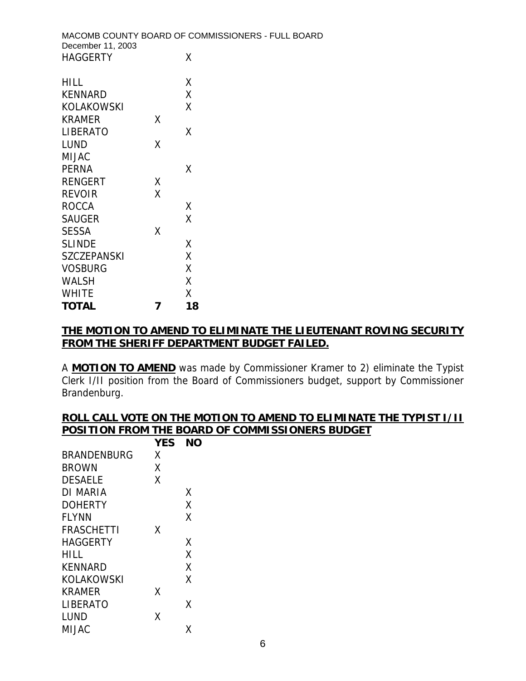| December 11, 2003 | MACOMB COUNTY BOARD OF COMMISSIONERS - FULL BOARD |
|-------------------|---------------------------------------------------|
| <b>HAGGERTY</b>   | X                                                 |
| HILL.             |                                                   |

| KENNARD            |   | Χ  |
|--------------------|---|----|
| KOLAKOWSKI         |   | χ  |
| KRAMER             | χ |    |
| LIBERATO           |   | χ  |
| LUND               | Χ |    |
| MIJAC              |   |    |
| PERNA              |   | χ  |
| <b>RENGERT</b>     | Χ |    |
| <b>REVOIR</b>      | Χ |    |
| <b>ROCCA</b>       |   | Χ  |
| <b>SAUGER</b>      |   | Χ  |
| <b>SESSA</b>       | χ |    |
| <b>SLINDE</b>      |   | Χ  |
| <b>SZCZEPANSKI</b> |   | Χ  |
| <b>VOSBURG</b>     |   | Χ  |
| WALSH              |   | Χ  |
| <b>WHITE</b>       |   | Χ  |
| <b>TOTAL</b>       |   | 18 |

#### **THE MOTION TO AMEND TO ELIMINATE THE LIEUTENANT ROVING SECURITY FROM THE SHERIFF DEPARTMENT BUDGET FAILED.**

A **MOTION TO AMEND** was made by Commissioner Kramer to 2) eliminate the Typist Clerk I/II position from the Board of Commissioners budget, support by Commissioner Brandenburg.

#### **ROLL CALL VOTE ON THE MOTION TO AMEND TO ELIMINATE THE TYPIST I/II POSITION FROM THE BOARD OF COMMISSIONERS BUDGET YES NO**

|                   | I L.J |   |
|-------------------|-------|---|
| BRANDENBURG       | Χ     |   |
| <b>BROWN</b>      | Χ     |   |
| <b>DESAELE</b>    | X     |   |
| DI MARIA          |       | Χ |
| <b>DOHERTY</b>    |       | χ |
| <b>FLYNN</b>      |       | Χ |
| <b>FRASCHETTI</b> | χ     |   |
| HAGGERTY          |       | χ |
| HILL              |       | χ |
| <b>KENNARD</b>    |       | X |
| KOLAKOWSKI        |       | X |
| KRAMER            | χ     |   |
| LIBERATO          |       | x |
| LUND              | χ     |   |
| MIJAC             |       | Χ |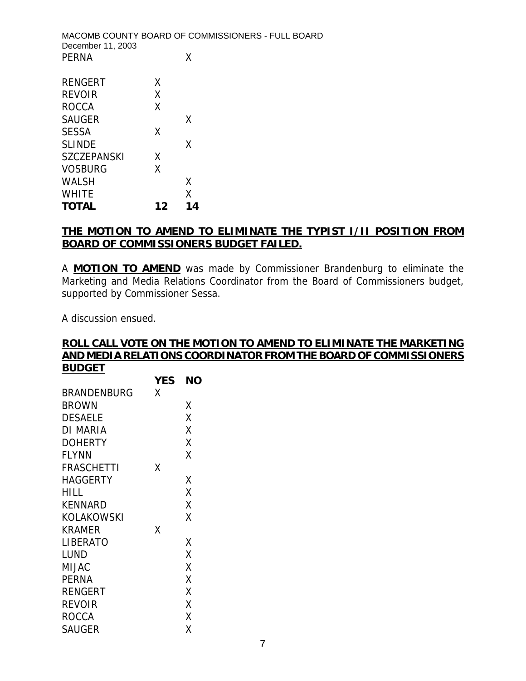| December 11, 2003 |    | MACOMB COUNTY BOARD OF COMMISSIONERS - FULL BOARD |  |
|-------------------|----|---------------------------------------------------|--|
| <b>PERNA</b>      |    | x                                                 |  |
| <b>RENGERT</b>    | X. |                                                   |  |
| <b>REVOIR</b>     | X  |                                                   |  |
| <b>ROCCA</b>      | x  |                                                   |  |
| <b>SAUGER</b>     |    | x                                                 |  |
| <b>SESSA</b>      |    |                                                   |  |

| <b>SLINDE</b> |    | X  |  |
|---------------|----|----|--|
| SZCZEPANSKI   | X  |    |  |
| VOSBURG       | X  |    |  |
| WALSH         |    | X  |  |
| WHITE         |    | X  |  |
| <b>TOTAL</b>  | 12 | 14 |  |

### **THE MOTION TO AMEND TO ELIMINATE THE TYPIST I/II POSITION FROM BOARD OF COMMISSIONERS BUDGET FAILED.**

A **MOTION TO AMEND** was made by Commissioner Brandenburg to eliminate the Marketing and Media Relations Coordinator from the Board of Commissioners budget, supported by Commissioner Sessa.

A discussion ensued.

#### **ROLL CALL VOTE ON THE MOTION TO AMEND TO ELIMINATE THE MARKETING AND MEDIA RELATIONS COORDINATOR FROM THE BOARD OF COMMISSIONERS BUDGET**

|                | <b>YES</b> | ΝO |
|----------------|------------|----|
| BRANDENBURG    | χ          |    |
| <b>BROWN</b>   |            | Χ  |
| <b>DESAELE</b> |            | Χ  |
| DI MARIA       |            | X  |
| <b>DOHERTY</b> |            | Χ  |
| <b>FLYNN</b>   |            | Χ  |
| FRASCHETTI     | Χ          |    |
| HAGGERTY       |            | Χ  |
| HILL           |            | X  |
| KENNARD        |            | Χ  |
| KOLAKOWSKI     |            | Χ  |
| KRAMER         | Χ          |    |
| LIBERATO       |            | Χ  |
| LUND           |            | X  |
| MIJAC          |            | X  |
| <b>PERNA</b>   |            | X  |
| RENGERT        |            | Χ  |
| <b>REVOIR</b>  |            | X  |
| ROCCA          |            | Χ  |
| SAUGER         |            | Χ  |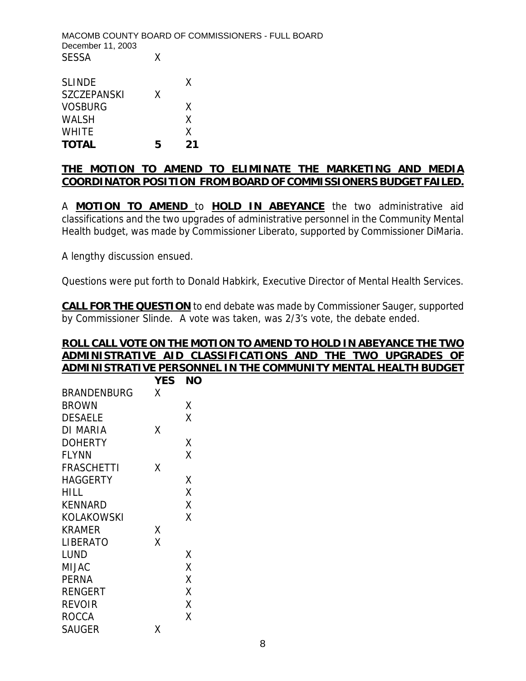MACOMB COUNTY BOARD OF COMMISSIONERS - FULL BOARD December 11, 2003 SESSA X

| <b>TOTAL</b>       | 5 | フィ |
|--------------------|---|----|
| <b>WHITE</b>       |   | x  |
| <b>WALSH</b>       |   | X  |
| <b>VOSBURG</b>     |   | X  |
| <b>SZCZEPANSKI</b> | x |    |
| <b>SLINDE</b>      |   | x  |

#### **THE MOTION TO AMEND TO ELIMINATE THE MARKETING AND MEDIA COORDINATOR POSITION FROM BOARD OF COMMISSIONERS BUDGET FAILED.**

A **MOTION TO AMEND** to **HOLD IN ABEYANCE** the two administrative aid classifications and the two upgrades of administrative personnel in the Community Mental Health budget, was made by Commissioner Liberato, supported by Commissioner DiMaria.

A lengthy discussion ensued.

Questions were put forth to Donald Habkirk, Executive Director of Mental Health Services.

**CALL FOR THE QUESTION** to end debate was made by Commissioner Sauger, supported by Commissioner Slinde. A vote was taken, was 2/3's vote, the debate ended.

#### **ROLL CALL VOTE ON THE MOTION TO AMEND TO HOLD IN ABEYANCE THE TWO ADMINISTRATIVE AID CLASSIFICATIONS AND THE TWO UPGRADES OF ADMINISTRATIVE PERSONNEL IN THE COMMUNITY MENTAL HEALTH BUDGET**

|                   | <b>YES</b> | NΟ |
|-------------------|------------|----|
| BRANDENBURG       | Χ          |    |
| BROWN             |            | Χ  |
| <b>DESAELE</b>    |            | Χ  |
| DI MARIA          | Χ          |    |
| DOHERTY           |            | Χ  |
| <b>FLYNN</b>      |            | Χ  |
| <b>FRASCHETTI</b> | Χ          |    |
| HAGGERTY          |            | Χ  |
| HILL              |            | X  |
| <b>KENNARD</b>    |            | X  |
| KOLAKOWSKI        |            | Χ  |
| KRAMER            | Χ          |    |
| LIBERATO          | X          |    |
| LUND              |            | Χ  |
| MIJAC             |            | Χ  |
| <b>PERNA</b>      |            | Χ  |
| <b>RENGERT</b>    |            | Χ  |
| <b>REVOIR</b>     |            | Χ  |
| ROCCA             |            | χ  |
| SAUGER            | x          |    |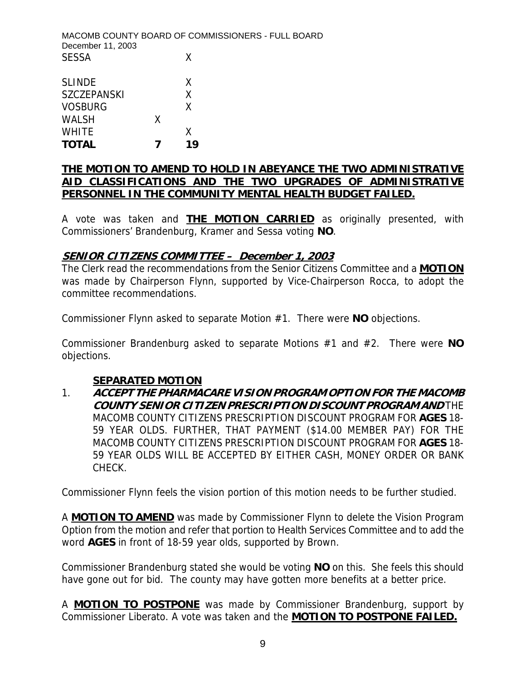MACOMB COUNTY BOARD OF COMMISSIONERS - FULL BOARD December 11, 2003 SESSA X SLINDE X

| <b>TOTAL</b> | 7 | 1 Q |
|--------------|---|-----|
| WHITE        |   | X   |
| WALSH        | X |     |
| VOSBURG      |   | X   |
| SZCZEPANSKI  |   | X   |

#### **THE MOTION TO AMEND TO HOLD IN ABEYANCE THE TWO ADMINISTRATIVE AID CLASSIFICATIONS AND THE TWO UPGRADES OF ADMINISTRATIVE PERSONNEL IN THE COMMUNITY MENTAL HEALTH BUDGET FAILED.**

A vote was taken and **THE MOTION CARRIED** as originally presented, with Commissioners' Brandenburg, Kramer and Sessa voting **NO**.

#### **SENIOR CITIZENS COMMITTEE – December 1, 2003**

The Clerk read the recommendations from the Senior Citizens Committee and a **MOTION** was made by Chairperson Flynn, supported by Vice-Chairperson Rocca, to adopt the committee recommendations.

Commissioner Flynn asked to separate Motion #1. There were **NO** objections.

Commissioner Brandenburg asked to separate Motions #1 and #2. There were **NO** objections.

#### **SEPARATED MOTION**

1. **ACCEPT THE PHARMACARE VISION PROGRAM OPTION FOR THE MACOMB COUNTY SENIOR CITIZEN PRESCRIPTION DISCOUNT PROGRAM AND** THE MACOMB COUNTY CITIZENS PRESCRIPTION DISCOUNT PROGRAM FOR **AGES** 18- 59 YEAR OLDS. FURTHER, THAT PAYMENT (\$14.00 MEMBER PAY) FOR THE MACOMB COUNTY CITIZENS PRESCRIPTION DISCOUNT PROGRAM FOR **AGES** 18- 59 YEAR OLDS WILL BE ACCEPTED BY EITHER CASH, MONEY ORDER OR BANK CHECK.

Commissioner Flynn feels the vision portion of this motion needs to be further studied.

A **MOTION TO AMEND** was made by Commissioner Flynn to delete the Vision Program Option from the motion and refer that portion to Health Services Committee and to add the word **AGES** in front of 18-59 year olds, supported by Brown.

Commissioner Brandenburg stated she would be voting **NO** on this. She feels this should have gone out for bid. The county may have gotten more benefits at a better price.

A **MOTION TO POSTPONE** was made by Commissioner Brandenburg, support by Commissioner Liberato. A vote was taken and the **MOTION TO POSTPONE FAILED.**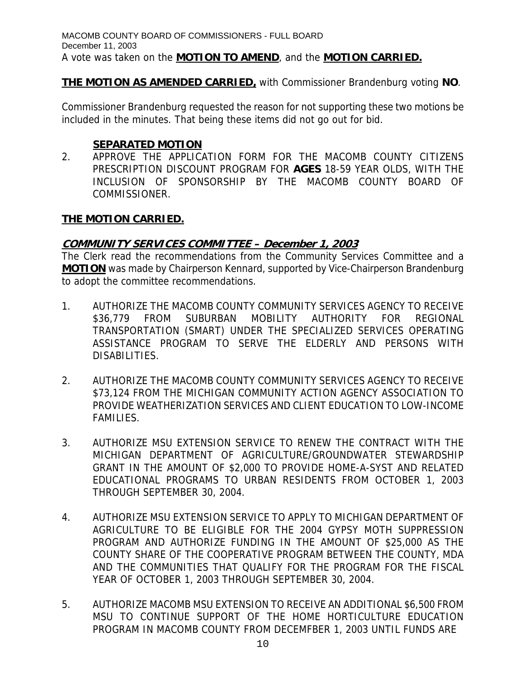## **THE MOTION AS AMENDED CARRIED,** with Commissioner Brandenburg voting **NO**.

Commissioner Brandenburg requested the reason for not supporting these two motions be included in the minutes. That being these items did not go out for bid.

### **SEPARATED MOTION**

2. APPROVE THE APPLICATION FORM FOR THE MACOMB COUNTY CITIZENS PRESCRIPTION DISCOUNT PROGRAM FOR **AGES** 18-59 YEAR OLDS, WITH THE INCLUSION OF SPONSORSHIP BY THE MACOMB COUNTY BOARD OF COMMISSIONER.

## **THE MOTION CARRIED.**

## **COMMUNITY SERVICES COMMITTEE – December 1, 2003**

The Clerk read the recommendations from the Community Services Committee and a **MOTION** was made by Chairperson Kennard, supported by Vice-Chairperson Brandenburg to adopt the committee recommendations.

- 1. AUTHORIZE THE MACOMB COUNTY COMMUNITY SERVICES AGENCY TO RECEIVE \$36,779 FROM SUBURBAN MOBILITY AUTHORITY FOR REGIONAL TRANSPORTATION (SMART) UNDER THE SPECIALIZED SERVICES OPERATING ASSISTANCE PROGRAM TO SERVE THE ELDERLY AND PERSONS WITH DISABILITIES.
- 2. AUTHORIZE THE MACOMB COUNTY COMMUNITY SERVICES AGENCY TO RECEIVE \$73,124 FROM THE MICHIGAN COMMUNITY ACTION AGENCY ASSOCIATION TO PROVIDE WEATHERIZATION SERVICES AND CLIENT EDUCATION TO LOW-INCOME FAMILIES.
- 3. AUTHORIZE MSU EXTENSION SERVICE TO RENEW THE CONTRACT WITH THE MICHIGAN DEPARTMENT OF AGRICULTURE/GROUNDWATER STEWARDSHIP GRANT IN THE AMOUNT OF \$2,000 TO PROVIDE HOME-A-SYST AND RELATED EDUCATIONAL PROGRAMS TO URBAN RESIDENTS FROM OCTOBER 1, 2003 THROUGH SEPTEMBER 30, 2004.
- 4. AUTHORIZE MSU EXTENSION SERVICE TO APPLY TO MICHIGAN DEPARTMENT OF AGRICULTURE TO BE ELIGIBLE FOR THE 2004 GYPSY MOTH SUPPRESSION PROGRAM AND AUTHORIZE FUNDING IN THE AMOUNT OF \$25,000 AS THE COUNTY SHARE OF THE COOPERATIVE PROGRAM BETWEEN THE COUNTY, MDA AND THE COMMUNITIES THAT QUALIFY FOR THE PROGRAM FOR THE FISCAL YEAR OF OCTOBER 1, 2003 THROUGH SEPTEMBER 30, 2004.
- 5. AUTHORIZE MACOMB MSU EXTENSION TO RECEIVE AN ADDITIONAL \$6,500 FROM MSU TO CONTINUE SUPPORT OF THE HOME HORTICULTURE EDUCATION PROGRAM IN MACOMB COUNTY FROM DECEMFBER 1, 2003 UNTIL FUNDS ARE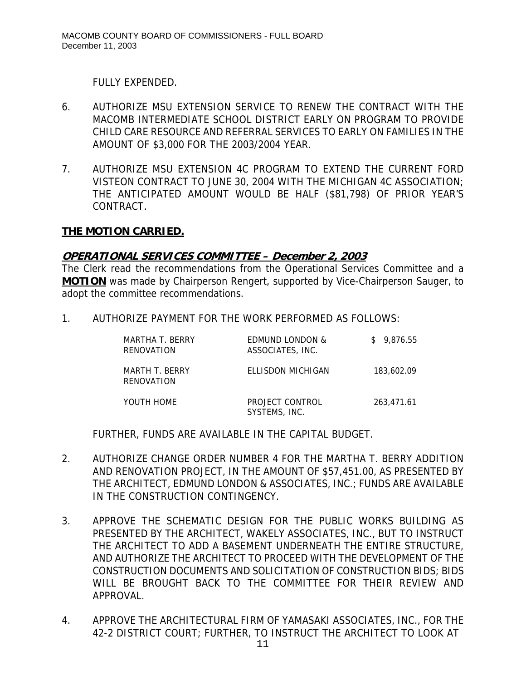FULLY EXPENDED.

- 6. AUTHORIZE MSU EXTENSION SERVICE TO RENEW THE CONTRACT WITH THE MACOMB INTERMEDIATE SCHOOL DISTRICT EARLY ON PROGRAM TO PROVIDE CHILD CARE RESOURCE AND REFERRAL SERVICES TO EARLY ON FAMILIES IN THE AMOUNT OF \$3,000 FOR THE 2003/2004 YEAR.
- 7. AUTHORIZE MSU EXTENSION 4C PROGRAM TO EXTEND THE CURRENT FORD VISTEON CONTRACT TO JUNE 30, 2004 WITH THE MICHIGAN 4C ASSOCIATION; THE ANTICIPATED AMOUNT WOULD BE HALF (\$81,798) OF PRIOR YEAR'S CONTRACT.

## **THE MOTION CARRIED.**

### **OPERATIONAL SERVICES COMMITTEE – December 2, 2003**

The Clerk read the recommendations from the Operational Services Committee and a **MOTION** was made by Chairperson Rengert, supported by Vice-Chairperson Sauger, to adopt the committee recommendations.

1. AUTHORIZE PAYMENT FOR THE WORK PERFORMED AS FOLLOWS:

| MARTHA T. BERRY<br>RENOVATION | EDMUND LONDON &<br>ASSOCIATES, INC. | \$9.876.55 |
|-------------------------------|-------------------------------------|------------|
| MARTH T. BERRY<br>RENOVATION  | ELLISDON MICHIGAN                   | 183,602.09 |
| YOUTH HOME                    | PROJECT CONTROL<br>SYSTEMS, INC.    | 263.471.61 |

FURTHER, FUNDS ARE AVAILABLE IN THE CAPITAL BUDGET.

- 2. AUTHORIZE CHANGE ORDER NUMBER 4 FOR THE MARTHA T. BERRY ADDITION AND RENOVATION PROJECT, IN THE AMOUNT OF \$57,451.00, AS PRESENTED BY THE ARCHITECT, EDMUND LONDON & ASSOCIATES, INC.; FUNDS ARE AVAILABLE IN THE CONSTRUCTION CONTINGENCY.
- 3. APPROVE THE SCHEMATIC DESIGN FOR THE PUBLIC WORKS BUILDING AS PRESENTED BY THE ARCHITECT, WAKELY ASSOCIATES, INC., BUT TO INSTRUCT THE ARCHITECT TO ADD A BASEMENT UNDERNEATH THE ENTIRE STRUCTURE, AND AUTHORIZE THE ARCHITECT TO PROCEED WITH THE DEVELOPMENT OF THE CONSTRUCTION DOCUMENTS AND SOLICITATION OF CONSTRUCTION BIDS; BIDS WILL BE BROUGHT BACK TO THE COMMITTEE FOR THEIR REVIEW AND APPROVAL.
- 4. APPROVE THE ARCHITECTURAL FIRM OF YAMASAKI ASSOCIATES, INC., FOR THE 42-2 DISTRICT COURT; FURTHER, TO INSTRUCT THE ARCHITECT TO LOOK AT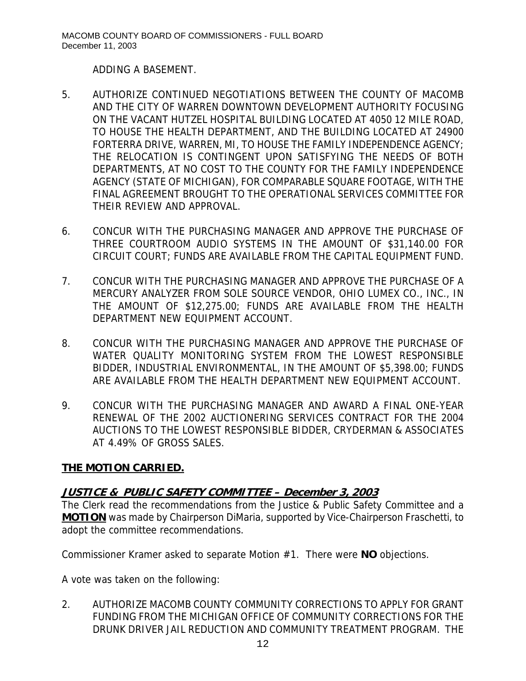ADDING A BASEMENT.

- 5. AUTHORIZE CONTINUED NEGOTIATIONS BETWEEN THE COUNTY OF MACOMB AND THE CITY OF WARREN DOWNTOWN DEVELOPMENT AUTHORITY FOCUSING ON THE VACANT HUTZEL HOSPITAL BUILDING LOCATED AT 4050 12 MILE ROAD, TO HOUSE THE HEALTH DEPARTMENT, AND THE BUILDING LOCATED AT 24900 FORTERRA DRIVE, WARREN, MI, TO HOUSE THE FAMILY INDEPENDENCE AGENCY; THE RELOCATION IS CONTINGENT UPON SATISFYING THE NEEDS OF BOTH DEPARTMENTS, AT NO COST TO THE COUNTY FOR THE FAMILY INDEPENDENCE AGENCY (STATE OF MICHIGAN), FOR COMPARABLE SQUARE FOOTAGE, WITH THE FINAL AGREEMENT BROUGHT TO THE OPERATIONAL SERVICES COMMITTEE FOR THEIR REVIEW AND APPROVAL.
- 6. CONCUR WITH THE PURCHASING MANAGER AND APPROVE THE PURCHASE OF THREE COURTROOM AUDIO SYSTEMS IN THE AMOUNT OF \$31,140.00 FOR CIRCUIT COURT; FUNDS ARE AVAILABLE FROM THE CAPITAL EQUIPMENT FUND.
- 7. CONCUR WITH THE PURCHASING MANAGER AND APPROVE THE PURCHASE OF A MERCURY ANALYZER FROM SOLE SOURCE VENDOR, OHIO LUMEX CO., INC., IN THE AMOUNT OF \$12,275.00; FUNDS ARE AVAILABLE FROM THE HEALTH DEPARTMENT NEW EQUIPMENT ACCOUNT.
- 8. CONCUR WITH THE PURCHASING MANAGER AND APPROVE THE PURCHASE OF WATER QUALITY MONITORING SYSTEM FROM THE LOWEST RESPONSIBLE BIDDER, INDUSTRIAL ENVIRONMENTAL, IN THE AMOUNT OF \$5,398.00; FUNDS ARE AVAILABLE FROM THE HEALTH DEPARTMENT NEW EQUIPMENT ACCOUNT.
- 9. CONCUR WITH THE PURCHASING MANAGER AND AWARD A FINAL ONE-YEAR RENEWAL OF THE 2002 AUCTIONERING SERVICES CONTRACT FOR THE 2004 AUCTIONS TO THE LOWEST RESPONSIBLE BIDDER, CRYDERMAN & ASSOCIATES AT 4.49% OF GROSS SALES.

# **THE MOTION CARRIED.**

### **JUSTICE & PUBLIC SAFETY COMMITTEE – December 3, 2003**

The Clerk read the recommendations from the Justice & Public Safety Committee and a **MOTION** was made by Chairperson DiMaria, supported by Vice-Chairperson Fraschetti, to adopt the committee recommendations.

Commissioner Kramer asked to separate Motion #1. There were **NO** objections.

A vote was taken on the following:

2. AUTHORIZE MACOMB COUNTY COMMUNITY CORRECTIONS TO APPLY FOR GRANT FUNDING FROM THE MICHIGAN OFFICE OF COMMUNITY CORRECTIONS FOR THE DRUNK DRIVER JAIL REDUCTION AND COMMUNITY TREATMENT PROGRAM. THE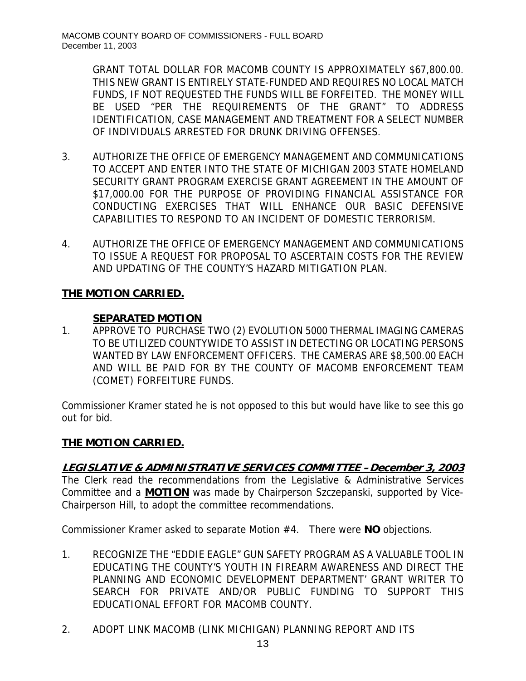GRANT TOTAL DOLLAR FOR MACOMB COUNTY IS APPROXIMATELY \$67,800.00. THIS NEW GRANT IS ENTIRELY STATE-FUNDED AND REQUIRES NO LOCAL MATCH FUNDS, IF NOT REQUESTED THE FUNDS WILL BE FORFEITED. THE MONEY WILL BE USED "PER THE REQUIREMENTS OF THE GRANT" TO ADDRESS IDENTIFICATION, CASE MANAGEMENT AND TREATMENT FOR A SELECT NUMBER OF INDIVIDUALS ARRESTED FOR DRUNK DRIVING OFFENSES.

- 3. AUTHORIZE THE OFFICE OF EMERGENCY MANAGEMENT AND COMMUNICATIONS TO ACCEPT AND ENTER INTO THE STATE OF MICHIGAN 2003 STATE HOMELAND SECURITY GRANT PROGRAM EXERCISE GRANT AGREEMENT IN THE AMOUNT OF \$17,000.00 FOR THE PURPOSE OF PROVIDING FINANCIAL ASSISTANCE FOR CONDUCTING EXERCISES THAT WILL ENHANCE OUR BASIC DEFENSIVE CAPABILITIES TO RESPOND TO AN INCIDENT OF DOMESTIC TERRORISM.
- 4. AUTHORIZE THE OFFICE OF EMERGENCY MANAGEMENT AND COMMUNICATIONS TO ISSUE A REQUEST FOR PROPOSAL TO ASCERTAIN COSTS FOR THE REVIEW AND UPDATING OF THE COUNTY'S HAZARD MITIGATION PLAN.

## **THE MOTION CARRIED.**

### **SEPARATED MOTION**

1. APPROVE TO PURCHASE TWO (2) EVOLUTION 5000 THERMAL IMAGING CAMERAS TO BE UTILIZED COUNTYWIDE TO ASSIST IN DETECTING OR LOCATING PERSONS WANTED BY LAW ENFORCEMENT OFFICERS. THE CAMERAS ARE \$8,500.00 EACH AND WILL BE PAID FOR BY THE COUNTY OF MACOMB ENFORCEMENT TEAM (COMET) FORFEITURE FUNDS.

Commissioner Kramer stated he is not opposed to this but would have like to see this go out for bid.

### **THE MOTION CARRIED.**

### **LEGISLATIVE & ADMINISTRATIVE SERVICES COMMITTEE –December 3, 2003**

The Clerk read the recommendations from the Legislative & Administrative Services Committee and a **MOTION** was made by Chairperson Szczepanski, supported by Vice-Chairperson Hill, to adopt the committee recommendations.

Commissioner Kramer asked to separate Motion #4. There were **NO** objections.

- 1. RECOGNIZE THE "EDDIE EAGLE" GUN SAFETY PROGRAM AS A VALUABLE TOOL IN EDUCATING THE COUNTY'S YOUTH IN FIREARM AWARENESS AND DIRECT THE PLANNING AND ECONOMIC DEVELOPMENT DEPARTMENT' GRANT WRITER TO SEARCH FOR PRIVATE AND/OR PUBLIC FUNDING TO SUPPORT THIS EDUCATIONAL EFFORT FOR MACOMB COUNTY.
- 2. ADOPT LINK MACOMB (LINK MICHIGAN) PLANNING REPORT AND ITS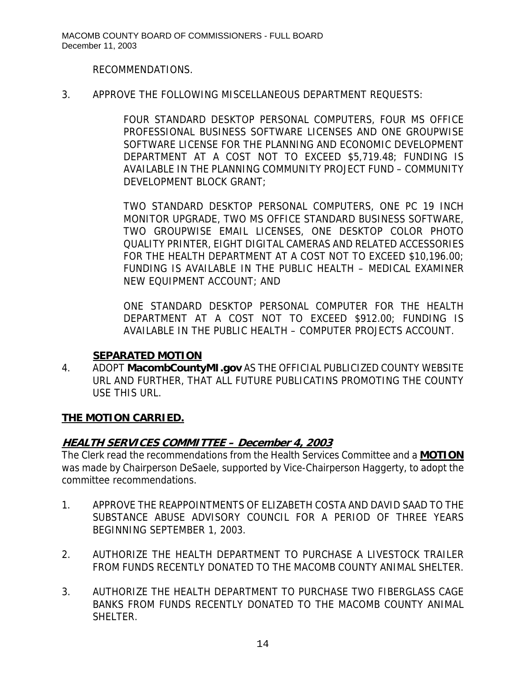#### RECOMMENDATIONS.

#### 3. APPROVE THE FOLLOWING MISCELLANEOUS DEPARTMENT REQUESTS:

FOUR STANDARD DESKTOP PERSONAL COMPUTERS, FOUR MS OFFICE PROFESSIONAL BUSINESS SOFTWARE LICENSES AND ONE GROUPWISE SOFTWARE LICENSE FOR THE PLANNING AND ECONOMIC DEVELOPMENT DEPARTMENT AT A COST NOT TO EXCEED \$5,719.48; FUNDING IS AVAILABLE IN THE PLANNING COMMUNITY PROJECT FUND – COMMUNITY DEVELOPMENT BLOCK GRANT;

TWO STANDARD DESKTOP PERSONAL COMPUTERS, ONE PC 19 INCH MONITOR UPGRADE, TWO MS OFFICE STANDARD BUSINESS SOFTWARE, TWO GROUPWISE EMAIL LICENSES, ONE DESKTOP COLOR PHOTO QUALITY PRINTER, EIGHT DIGITAL CAMERAS AND RELATED ACCESSORIES FOR THE HEALTH DEPARTMENT AT A COST NOT TO EXCEED \$10,196.00; FUNDING IS AVAILABLE IN THE PUBLIC HEALTH – MEDICAL EXAMINER NEW EQUIPMENT ACCOUNT; AND

ONE STANDARD DESKTOP PERSONAL COMPUTER FOR THE HEALTH DEPARTMENT AT A COST NOT TO EXCEED \$912.00; FUNDING IS AVAILABLE IN THE PUBLIC HEALTH – COMPUTER PROJECTS ACCOUNT.

#### **SEPARATED MOTION**

4. ADOPT **MacombCountyMI.gov** AS THE OFFICIAL PUBLICIZED COUNTY WEBSITE URL AND FURTHER, THAT ALL FUTURE PUBLICATINS PROMOTING THE COUNTY USE THIS URL.

### **THE MOTION CARRIED.**

### **HEALTH SERVICES COMMITTEE – December 4, 2003**

The Clerk read the recommendations from the Health Services Committee and a **MOTION** was made by Chairperson DeSaele, supported by Vice-Chairperson Haggerty, to adopt the committee recommendations.

- 1. APPROVE THE REAPPOINTMENTS OF ELIZABETH COSTA AND DAVID SAAD TO THE SUBSTANCE ABUSE ADVISORY COUNCIL FOR A PERIOD OF THREE YEARS BEGINNING SEPTEMBER 1, 2003.
- 2. AUTHORIZE THE HEALTH DEPARTMENT TO PURCHASE A LIVESTOCK TRAILER FROM FUNDS RECENTLY DONATED TO THE MACOMB COUNTY ANIMAL SHELTER.
- 3. AUTHORIZE THE HEALTH DEPARTMENT TO PURCHASE TWO FIBERGLASS CAGE BANKS FROM FUNDS RECENTLY DONATED TO THE MACOMB COUNTY ANIMAL SHELTER.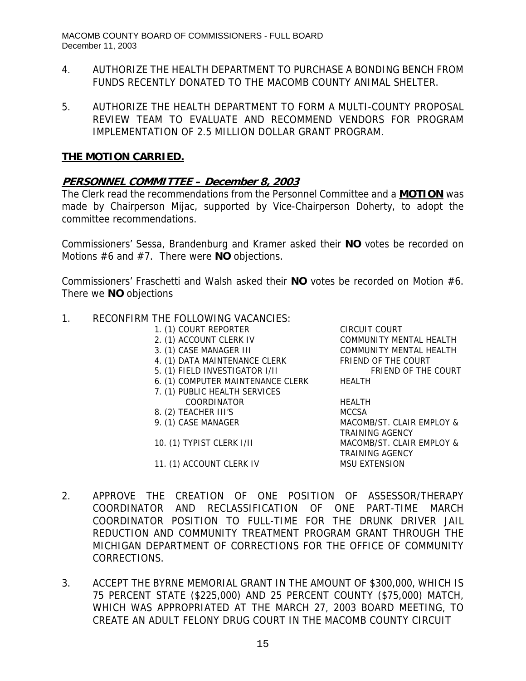- 4. AUTHORIZE THE HEALTH DEPARTMENT TO PURCHASE A BONDING BENCH FROM FUNDS RECENTLY DONATED TO THE MACOMB COUNTY ANIMAL SHELTER.
- 5. AUTHORIZE THE HEALTH DEPARTMENT TO FORM A MULTI-COUNTY PROPOSAL REVIEW TEAM TO EVALUATE AND RECOMMEND VENDORS FOR PROGRAM IMPLEMENTATION OF 2.5 MILLION DOLLAR GRANT PROGRAM.

#### **THE MOTION CARRIED.**

### **PERSONNEL COMMITTEE – December 8, 2003**

The Clerk read the recommendations from the Personnel Committee and a **MOTION** was made by Chairperson Mijac, supported by Vice-Chairperson Doherty, to adopt the committee recommendations.

Commissioners' Sessa, Brandenburg and Kramer asked their **NO** votes be recorded on Motions #6 and #7. There were **NO** objections.

Commissioners' Fraschetti and Walsh asked their **NO** votes be recorded on Motion #6. There we **NO** objections

#### 1. RECONFIRM THE FOLLOWING VACANCIES:

- 1. (1) COURT REPORTER CIRCUIT COURT
- 
- 
- 
- 5. (1) FIELD INVESTIGATOR I/II
- 6. (1) COMPUTER MAINTENANCE CLERK HEALTH
- 7. (1) PUBLIC HEALTH SERVICES
- COORDINATOR HEALTH
- 8. (2) TEACHER III'S MCCSA
- 

11. (1) ACCOUNT CLERK IV MSU EXTENSION

2. (1) ACCOUNT CLERK IV COMMUNITY MENTAL HEALTH 3. (1) CASE MANAGER III COMMUNITY MENTAL HEALTH 4. (1) DATA MAINTENANCE CLERK FRIEND OF THE COURT<br>5. (1) FIELD INVESTIGATOR I/II FRIEND OF THE COURT

9. (1) CASE MANAGER MACOMB/ST. CLAIR EMPLOY & TRAINING AGENCY 10. (1) TYPIST CLERK I/II MACOMB/ST. CLAIR EMPLOY & TRAINING AGENCY

- 2. APPROVE THE CREATION OF ONE POSITION OF ASSESSOR/THERAPY COORDINATOR AND RECLASSIFICATION OF ONE PART-TIME MARCH COORDINATOR POSITION TO FULL-TIME FOR THE DRUNK DRIVER JAIL REDUCTION AND COMMUNITY TREATMENT PROGRAM GRANT THROUGH THE MICHIGAN DEPARTMENT OF CORRECTIONS FOR THE OFFICE OF COMMUNITY CORRECTIONS.
- 3. ACCEPT THE BYRNE MEMORIAL GRANT IN THE AMOUNT OF \$300,000, WHICH IS 75 PERCENT STATE (\$225,000) AND 25 PERCENT COUNTY (\$75,000) MATCH, WHICH WAS APPROPRIATED AT THE MARCH 27, 2003 BOARD MEETING, TO CREATE AN ADULT FELONY DRUG COURT IN THE MACOMB COUNTY CIRCUIT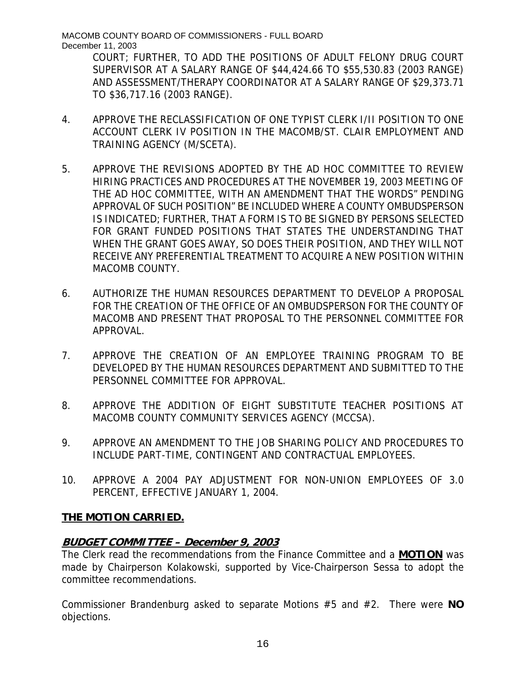MACOMB COUNTY BOARD OF COMMISSIONERS - FULL BOARD December 11, 2003

COURT; FURTHER, TO ADD THE POSITIONS OF ADULT FELONY DRUG COURT SUPERVISOR AT A SALARY RANGE OF \$44,424.66 TO \$55,530.83 (2003 RANGE) AND ASSESSMENT/THERAPY COORDINATOR AT A SALARY RANGE OF \$29,373.71 TO \$36,717.16 (2003 RANGE).

- 4. APPROVE THE RECLASSIFICATION OF ONE TYPIST CLERK I/II POSITION TO ONE ACCOUNT CLERK IV POSITION IN THE MACOMB/ST. CLAIR EMPLOYMENT AND TRAINING AGENCY (M/SCETA).
- 5. APPROVE THE REVISIONS ADOPTED BY THE AD HOC COMMITTEE TO REVIEW HIRING PRACTICES AND PROCEDURES AT THE NOVEMBER 19, 2003 MEETING OF THE AD HOC COMMITTEE, WITH AN AMENDMENT THAT THE WORDS" PENDING APPROVAL OF SUCH POSITION" BE INCLUDED WHERE A COUNTY OMBUDSPERSON IS INDICATED; FURTHER, THAT A FORM IS TO BE SIGNED BY PERSONS SELECTED FOR GRANT FUNDED POSITIONS THAT STATES THE UNDERSTANDING THAT WHEN THE GRANT GOES AWAY, SO DOES THEIR POSITION, AND THEY WILL NOT RECEIVE ANY PREFERENTIAL TREATMENT TO ACQUIRE A NEW POSITION WITHIN MACOMB COUNTY.
- 6. AUTHORIZE THE HUMAN RESOURCES DEPARTMENT TO DEVELOP A PROPOSAL FOR THE CREATION OF THE OFFICE OF AN OMBUDSPERSON FOR THE COUNTY OF MACOMB AND PRESENT THAT PROPOSAL TO THE PERSONNEL COMMITTEE FOR APPROVAL.
- 7. APPROVE THE CREATION OF AN EMPLOYEE TRAINING PROGRAM TO BE DEVELOPED BY THE HUMAN RESOURCES DEPARTMENT AND SUBMITTED TO THE PERSONNEL COMMITTEE FOR APPROVAL.
- 8. APPROVE THE ADDITION OF EIGHT SUBSTITUTE TEACHER POSITIONS AT MACOMB COUNTY COMMUNITY SERVICES AGENCY (MCCSA).
- 9. APPROVE AN AMENDMENT TO THE JOB SHARING POLICY AND PROCEDURES TO INCLUDE PART-TIME, CONTINGENT AND CONTRACTUAL EMPLOYEES.
- 10. APPROVE A 2004 PAY ADJUSTMENT FOR NON-UNION EMPLOYEES OF 3.0 PERCENT, EFFECTIVE JANUARY 1, 2004.

# **THE MOTION CARRIED.**

# **BUDGET COMMITTEE – December 9, 2003**

The Clerk read the recommendations from the Finance Committee and a **MOTION** was made by Chairperson Kolakowski, supported by Vice-Chairperson Sessa to adopt the committee recommendations.

Commissioner Brandenburg asked to separate Motions #5 and #2. There were **NO** objections.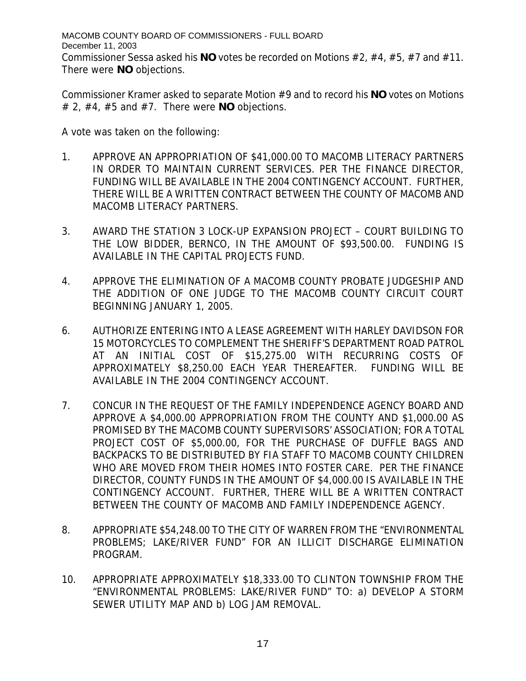MACOMB COUNTY BOARD OF COMMISSIONERS - FULL BOARD December 11, 2003 Commissioner Sessa asked his **NO** votes be recorded on Motions #2, #4, #5, #7 and #11. There were **NO** objections.

Commissioner Kramer asked to separate Motion #9 and to record his **NO** votes on Motions # 2, #4, #5 and #7. There were **NO** objections.

A vote was taken on the following:

- 1. APPROVE AN APPROPRIATION OF \$41,000.00 TO MACOMB LITERACY PARTNERS IN ORDER TO MAINTAIN CURRENT SERVICES. PER THE FINANCE DIRECTOR, FUNDING WILL BE AVAILABLE IN THE 2004 CONTINGENCY ACCOUNT. FURTHER, THERE WILL BE A WRITTEN CONTRACT BETWEEN THE COUNTY OF MACOMB AND MACOMB LITERACY PARTNERS.
- 3. AWARD THE STATION 3 LOCK-UP EXPANSION PROJECT COURT BUILDING TO THE LOW BIDDER, BERNCO, IN THE AMOUNT OF \$93,500.00. FUNDING IS AVAILABLE IN THE CAPITAL PROJECTS FUND.
- 4. APPROVE THE ELIMINATION OF A MACOMB COUNTY PROBATE JUDGESHIP AND THE ADDITION OF ONE JUDGE TO THE MACOMB COUNTY CIRCUIT COURT BEGINNING JANUARY 1, 2005.
- 6. AUTHORIZE ENTERING INTO A LEASE AGREEMENT WITH HARLEY DAVIDSON FOR 15 MOTORCYCLES TO COMPLEMENT THE SHERIFF'S DEPARTMENT ROAD PATROL AT AN INITIAL COST OF \$15,275.00 WITH RECURRING COSTS OF APPROXIMATELY \$8,250.00 EACH YEAR THEREAFTER. FUNDING WILL BE AVAILABLE IN THE 2004 CONTINGENCY ACCOUNT.
- 7. CONCUR IN THE REQUEST OF THE FAMILY INDEPENDENCE AGENCY BOARD AND APPROVE A \$4,000.00 APPROPRIATION FROM THE COUNTY AND \$1,000.00 AS PROMISED BY THE MACOMB COUNTY SUPERVISORS' ASSOCIATION; FOR A TOTAL PROJECT COST OF \$5,000.00, FOR THE PURCHASE OF DUFFLE BAGS AND BACKPACKS TO BE DISTRIBUTED BY FIA STAFF TO MACOMB COUNTY CHILDREN WHO ARE MOVED FROM THEIR HOMES INTO FOSTER CARE. PER THE FINANCE DIRECTOR, COUNTY FUNDS IN THE AMOUNT OF \$4,000.00 IS AVAILABLE IN THE CONTINGENCY ACCOUNT. FURTHER, THERE WILL BE A WRITTEN CONTRACT BETWEEN THE COUNTY OF MACOMB AND FAMILY INDEPENDENCE AGENCY.
- 8. APPROPRIATE \$54,248.00 TO THE CITY OF WARREN FROM THE "ENVIRONMENTAL PROBLEMS; LAKE/RIVER FUND" FOR AN ILLICIT DISCHARGE ELIMINATION PROGRAM.
- 10. APPROPRIATE APPROXIMATELY \$18,333.00 TO CLINTON TOWNSHIP FROM THE "ENVIRONMENTAL PROBLEMS: LAKE/RIVER FUND" TO: a) DEVELOP A STORM SEWER UTILITY MAP AND b) LOG JAM REMOVAL.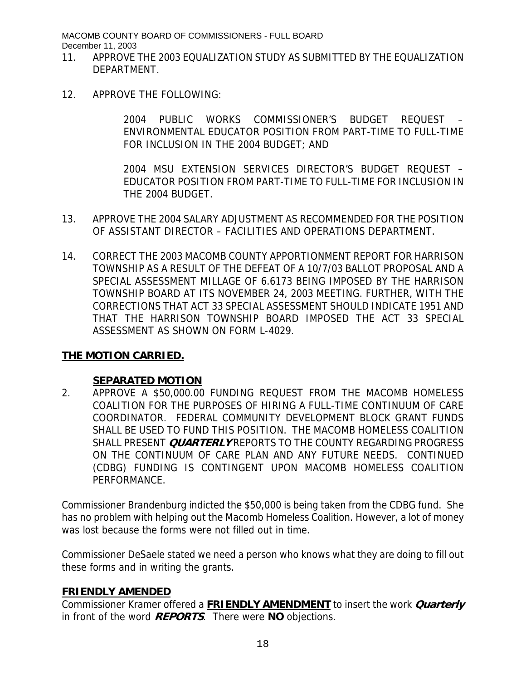MACOMB COUNTY BOARD OF COMMISSIONERS - FULL BOARD December 11, 2003

- 11. APPROVE THE 2003 EQUALIZATION STUDY AS SUBMITTED BY THE EQUALIZATION DEPARTMENT.
- 12. APPROVE THE FOLLOWING:

2004 PUBLIC WORKS COMMISSIONER'S BUDGET REQUEST – ENVIRONMENTAL EDUCATOR POSITION FROM PART-TIME TO FULL-TIME FOR INCLUSION IN THE 2004 BUDGET; AND

2004 MSU EXTENSION SERVICES DIRECTOR'S BUDGET REQUEST – EDUCATOR POSITION FROM PART-TIME TO FULL-TIME FOR INCLUSION IN THE 2004 BUDGET.

- 13. APPROVE THE 2004 SALARY ADJUSTMENT AS RECOMMENDED FOR THE POSITION OF ASSISTANT DIRECTOR – FACILITIES AND OPERATIONS DEPARTMENT.
- 14. CORRECT THE 2003 MACOMB COUNTY APPORTIONMENT REPORT FOR HARRISON TOWNSHIP AS A RESULT OF THE DEFEAT OF A 10/7/03 BALLOT PROPOSAL AND A SPECIAL ASSESSMENT MILLAGE OF 6.6173 BEING IMPOSED BY THE HARRISON TOWNSHIP BOARD AT ITS NOVEMBER 24, 2003 MEETING. FURTHER, WITH THE CORRECTIONS THAT ACT 33 SPECIAL ASSESSMENT SHOULD INDICATE 1951 AND THAT THE HARRISON TOWNSHIP BOARD IMPOSED THE ACT 33 SPECIAL ASSESSMENT AS SHOWN ON FORM L-4029.

#### **THE MOTION CARRIED.**

#### **SEPARATED MOTION**

2. APPROVE A \$50,000.00 FUNDING REQUEST FROM THE MACOMB HOMELESS COALITION FOR THE PURPOSES OF HIRING A FULL-TIME CONTINUUM OF CARE COORDINATOR. FEDERAL COMMUNITY DEVELOPMENT BLOCK GRANT FUNDS SHALL BE USED TO FUND THIS POSITION. THE MACOMB HOMELESS COALITION SHALL PRESENT **QUARTERLY** REPORTS TO THE COUNTY REGARDING PROGRESS ON THE CONTINUUM OF CARE PLAN AND ANY FUTURE NEEDS. CONTINUED (CDBG) FUNDING IS CONTINGENT UPON MACOMB HOMELESS COALITION PERFORMANCE.

Commissioner Brandenburg indicted the \$50,000 is being taken from the CDBG fund. She has no problem with helping out the Macomb Homeless Coalition. However, a lot of money was lost because the forms were not filled out in time.

Commissioner DeSaele stated we need a person who knows what they are doing to fill out these forms and in writing the grants.

#### **FRIENDLY AMENDED**

Commissioner Kramer offered a **FRIENDLY AMENDMENT** to insert the work **Quarterly**  in front of the word **REPORTS**. There were **NO** objections.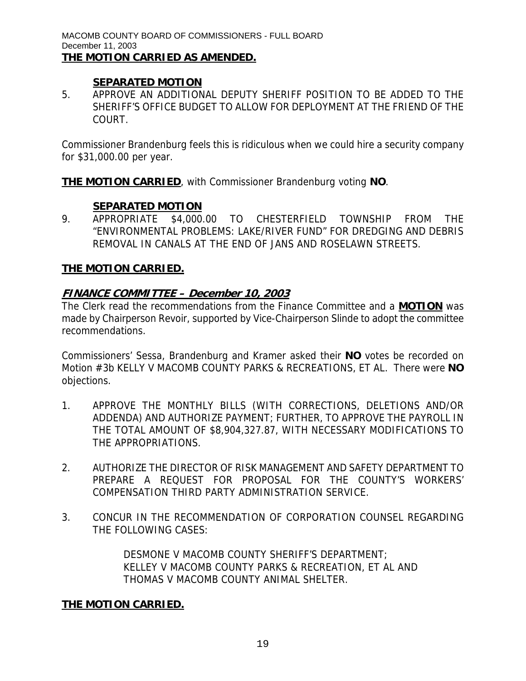#### **SEPARATED MOTION**

5. APPROVE AN ADDITIONAL DEPUTY SHERIFF POSITION TO BE ADDED TO THE SHERIFF'S OFFICE BUDGET TO ALLOW FOR DEPLOYMENT AT THE FRIEND OF THE COURT.

Commissioner Brandenburg feels this is ridiculous when we could hire a security company for \$31,000.00 per year.

**THE MOTION CARRIED**, with Commissioner Brandenburg voting **NO**.

#### **SEPARATED MOTION**

9. APPROPRIATE \$4,000.00 TO CHESTERFIELD TOWNSHIP FROM THE "ENVIRONMENTAL PROBLEMS: LAKE/RIVER FUND" FOR DREDGING AND DEBRIS REMOVAL IN CANALS AT THE END OF JANS AND ROSELAWN STREETS.

#### **THE MOTION CARRIED.**

#### **FINANCE COMMITTEE – December 10, 2003**

The Clerk read the recommendations from the Finance Committee and a **MOTION** was made by Chairperson Revoir, supported by Vice-Chairperson Slinde to adopt the committee recommendations.

Commissioners' Sessa, Brandenburg and Kramer asked their **NO** votes be recorded on Motion #3b KELLY V MACOMB COUNTY PARKS & RECREATIONS, ET AL. There were **NO** objections.

- 1. APPROVE THE MONTHLY BILLS (WITH CORRECTIONS, DELETIONS AND/OR ADDENDA) AND AUTHORIZE PAYMENT; FURTHER, TO APPROVE THE PAYROLL IN THE TOTAL AMOUNT OF \$8,904,327.87, WITH NECESSARY MODIFICATIONS TO THE APPROPRIATIONS.
- 2. AUTHORIZE THE DIRECTOR OF RISK MANAGEMENT AND SAFETY DEPARTMENT TO PREPARE A REQUEST FOR PROPOSAL FOR THE COUNTY'S WORKERS' COMPENSATION THIRD PARTY ADMINISTRATION SERVICE.
- 3. CONCUR IN THE RECOMMENDATION OF CORPORATION COUNSEL REGARDING THE FOLLOWING CASES:

DESMONE V MACOMB COUNTY SHERIFF'S DEPARTMENT; KELLEY V MACOMB COUNTY PARKS & RECREATION, ET AL AND THOMAS V MACOMB COUNTY ANIMAL SHELTER.

#### **THE MOTION CARRIED.**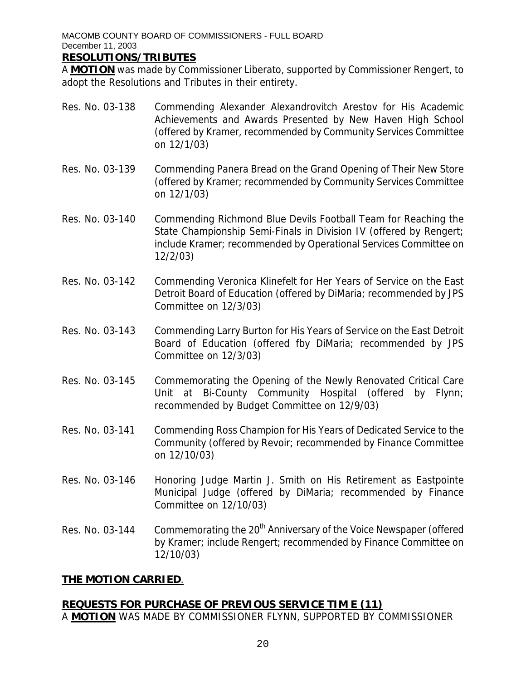MACOMB COUNTY BOARD OF COMMISSIONERS - FULL BOARD December 11, 2003

#### **RESOLUTIONS/TRIBUTES**

A **MOTION** was made by Commissioner Liberato, supported by Commissioner Rengert, to adopt the Resolutions and Tributes in their entirety.

- Res. No. 03-138 Commending Alexander Alexandrovitch Arestov for His Academic Achievements and Awards Presented by New Haven High School (offered by Kramer, recommended by Community Services Committee on 12/1/03)
- Res. No. 03-139 Commending Panera Bread on the Grand Opening of Their New Store (offered by Kramer; recommended by Community Services Committee on 12/1/03)
- Res. No. 03-140 Commending Richmond Blue Devils Football Team for Reaching the State Championship Semi-Finals in Division IV (offered by Rengert; include Kramer; recommended by Operational Services Committee on 12/2/03)
- Res. No. 03-142 Commending Veronica Klinefelt for Her Years of Service on the East Detroit Board of Education (offered by DiMaria; recommended by JPS Committee on 12/3/03)
- Res. No. 03-143 Commending Larry Burton for His Years of Service on the East Detroit Board of Education (offered fby DiMaria; recommended by JPS Committee on 12/3/03)
- Res. No. 03-145 Commemorating the Opening of the Newly Renovated Critical Care Unit at Bi-County Community Hospital (offered by Flynn; recommended by Budget Committee on 12/9/03)
- Res. No. 03-141 Commending Ross Champion for His Years of Dedicated Service to the Community (offered by Revoir; recommended by Finance Committee on 12/10/03)
- Res. No. 03-146 Honoring Judge Martin J. Smith on His Retirement as Eastpointe Municipal Judge (offered by DiMaria; recommended by Finance Committee on 12/10/03)
- Res. No. 03-144 Commemorating the 20<sup>th</sup> Anniversary of the Voice Newspaper (offered by Kramer; include Rengert; recommended by Finance Committee on 12/10/03)

### **THE MOTION CARRIED**.

### **REQUESTS FOR PURCHASE OF PREVIOUS SERVICE TIM E (11)**

A **MOTION** WAS MADE BY COMMISSIONER FLYNN, SUPPORTED BY COMMISSIONER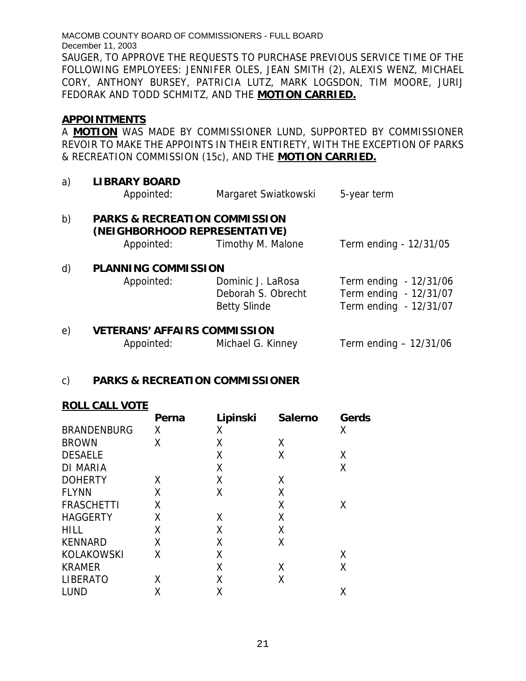MACOMB COUNTY BOARD OF COMMISSIONERS - FULL BOARD December 11, 2003 SAUGER, TO APPROVE THE REQUESTS TO PURCHASE PREVIOUS SERVICE TIME OF THE FOLLOWING EMPLOYEES: JENNIFER OLES, JEAN SMITH (2), ALEXIS WENZ, MICHAEL CORY, ANTHONY BURSEY, PATRICIA LUTZ, MARK LOGSDON, TIM MOORE, JURIJ FEDORAK AND TODD SCHMITZ, AND THE **MOTION CARRIED.**

#### **APPOINTMENTS**

A **MOTION** WAS MADE BY COMMISSIONER LUND, SUPPORTED BY COMMISSIONER REVOIR TO MAKE THE APPOINTS IN THEIR ENTIRETY, WITH THE EXCEPTION OF PARKS & RECREATION COMMISSION (15c), AND THE **MOTION CARRIED.**

a) **LIBRARY BOARD** Appointed: Margaret Swiatkowski 5-year term b) **PARKS & RECREATION COMMISSION (NEIGHBORHOOD REPRESENTATIVE)**  Appointed: Timothy M. Malone Term ending - 12/31/05 d) **PLANNING COMMISSION**  Appointed: Dominic J. LaRosa Term ending - 12/31/06 Deborah S. Obrecht Term ending - 12/31/07 Betty Slinde Term ending - 12/31/07

#### e) **VETERANS' AFFAIRS COMMISSION**

| Appointed: | Michael G. Kinney | Term ending $-12/31/06$ |
|------------|-------------------|-------------------------|

#### c) **PARKS & RECREATION COMMISSIONER**

#### **ROLL CALL VOTE**

|                    | Perna | Lipinski | <b>Salerno</b> | Gerds |
|--------------------|-------|----------|----------------|-------|
| <b>BRANDENBURG</b> | χ     | Χ        |                | Χ     |
| <b>BROWN</b>       | Χ     | X        | Χ              |       |
| <b>DESAELE</b>     |       | X        | Χ              | Χ     |
| <b>DI MARIA</b>    |       | X        |                | Χ     |
| <b>DOHERTY</b>     | χ     | Χ        | χ              |       |
| <b>FLYNN</b>       | χ     | X        | Χ              |       |
| <b>FRASCHETTI</b>  | Χ     |          | Χ              | Χ     |
| <b>HAGGERTY</b>    | Χ     | X        | Χ              |       |
| <b>HILL</b>        | Χ     | X        | Χ              |       |
| <b>KENNARD</b>     | Χ     | X        | Χ              |       |
| KOLAKOWSKI         | Χ     | Χ        |                | Χ     |
| <b>KRAMER</b>      |       | X        | Χ              | Χ     |
| <b>LIBERATO</b>    | Χ     | χ        | Χ              |       |
| <b>LUND</b>        | Χ     | Χ        |                | Χ     |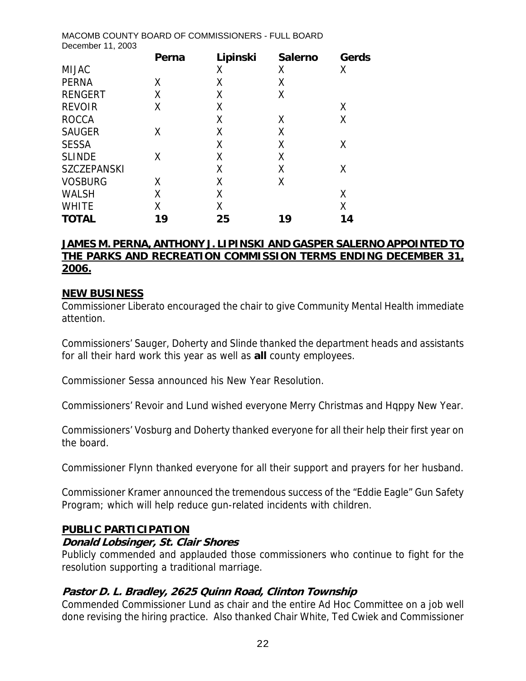| ס האוסוסטואוטט וט שוואס וואסט שוואס אווי<br>December 11, 2003 |       |          | . טבר שט א     |       |
|---------------------------------------------------------------|-------|----------|----------------|-------|
|                                                               | Perna | Lipinski | <b>Salerno</b> | Gerds |
| <b>MIJAC</b>                                                  |       | Χ        | Χ              | Χ     |
| <b>PERNA</b>                                                  | X     | Χ        | Χ              |       |
| <b>RENGERT</b>                                                | Χ     | Χ        | Χ              |       |
| <b>REVOIR</b>                                                 | Χ     | Χ        |                | Χ     |
| <b>ROCCA</b>                                                  |       | Χ        | Χ              | X     |
| <b>SAUGER</b>                                                 | Χ     | Χ        | Χ              |       |
| <b>SESSA</b>                                                  |       | X        | Χ              | Χ     |
| <b>SLINDE</b>                                                 | Χ     | Χ        | Χ              |       |
| <b>SZCZEPANSKI</b>                                            |       | Χ        | Χ              | χ     |
| <b>VOSBURG</b>                                                | Χ     | Χ        | Χ              |       |
| <b>WALSH</b>                                                  | χ     | Χ        |                | Χ     |
| <b>WHITE</b>                                                  | Χ     | Χ        |                | Χ     |
| <b>TOTAL</b>                                                  | 19    | 25       | 19             | 14    |

MACOMB COUNTY BOARD OF COMMISSIONERS - FULL BOARD

#### **JAMES M. PERNA, ANTHONY J. LIPINSKI AND GASPER SALERNO APPOINTED TO THE PARKS AND RECREATION COMMISSION TERMS ENDING DECEMBER 31, 2006.**

#### **NEW BUSINESS**

Commissioner Liberato encouraged the chair to give Community Mental Health immediate attention.

Commissioners' Sauger, Doherty and Slinde thanked the department heads and assistants for all their hard work this year as well as **all** county employees.

Commissioner Sessa announced his New Year Resolution.

Commissioners' Revoir and Lund wished everyone Merry Christmas and Hqppy New Year.

Commissioners' Vosburg and Doherty thanked everyone for all their help their first year on the board.

Commissioner Flynn thanked everyone for all their support and prayers for her husband.

Commissioner Kramer announced the tremendous success of the "Eddie Eagle" Gun Safety Program; which will help reduce gun-related incidents with children.

#### **PUBLIC PARTICIPATION**

#### **Donald Lobsinger, St. Clair Shores**

Publicly commended and applauded those commissioners who continue to fight for the resolution supporting a traditional marriage.

#### **Pastor D. L. Bradley, 2625 Quinn Road, Clinton Township**

Commended Commissioner Lund as chair and the entire Ad Hoc Committee on a job well done revising the hiring practice. Also thanked Chair White, Ted Cwiek and Commissioner